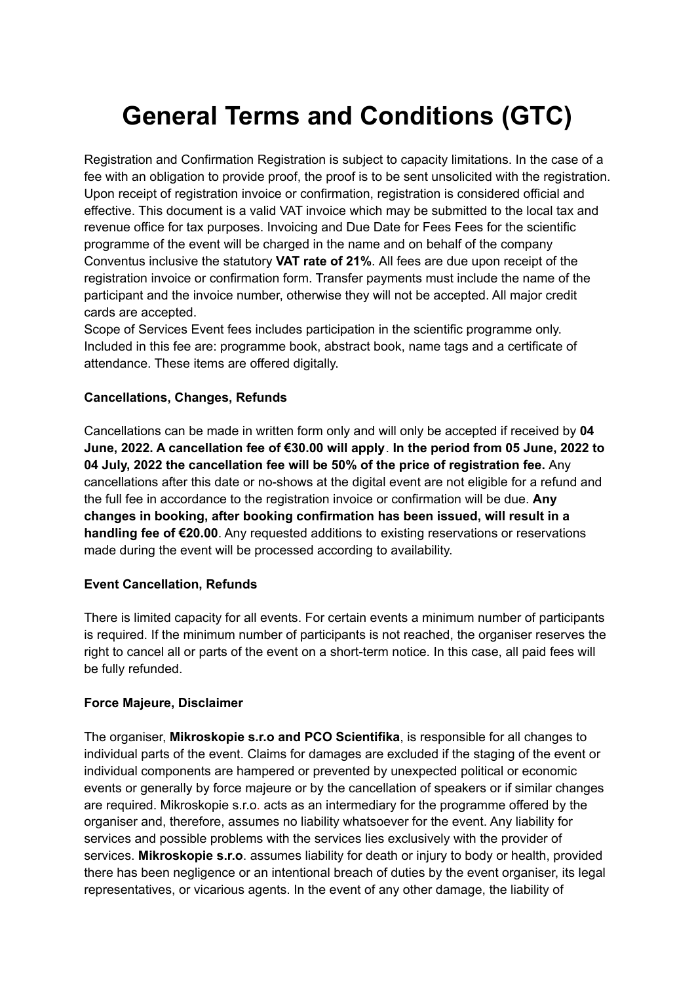# **General Terms and Conditions (GTC)**

Registration and Confirmation Registration is subject to capacity limitations. In the case of a fee with an obligation to provide proof, the proof is to be sent unsolicited with the registration. Upon receipt of registration invoice or confirmation, registration is considered official and effective. This document is a valid VAT invoice which may be submitted to the local tax and revenue office for tax purposes. Invoicing and Due Date for Fees Fees for the scientific programme of the event will be charged in the name and on behalf of the company Conventus inclusive the statutory **VAT rate of 21%**. All fees are due upon receipt of the registration invoice or confirmation form. Transfer payments must include the name of the participant and the invoice number, otherwise they will not be accepted. All major credit cards are accepted.

Scope of Services Event fees includes participation in the scientific programme only. Included in this fee are: programme book, abstract book, name tags and a certificate of attendance. These items are offered digitally.

### **Cancellations, Changes, Refunds**

Cancellations can be made in written form only and will only be accepted if received by **04 June, 2022. A cancellation fee of €30.00 will apply**. **In the period from 05 June, 2022 to 04 July, 2022 the cancellation fee will be 50% of the price of registration fee.** Any cancellations after this date or no-shows at the digital event are not eligible for a refund and the full fee in accordance to the registration invoice or confirmation will be due. **Any changes in booking, after booking confirmation has been issued, will result in a handling fee of €20.00**. Any requested additions to existing reservations or reservations made during the event will be processed according to availability.

#### **Event Cancellation, Refunds**

There is limited capacity for all events. For certain events a minimum number of participants is required. If the minimum number of participants is not reached, the organiser reserves the right to cancel all or parts of the event on a short-term notice. In this case, all paid fees will be fully refunded.

#### **Force Majeure, Disclaimer**

The organiser, **Mikroskopie s.r.o and PCO Scientifika**, is responsible for all changes to individual parts of the event. Claims for damages are excluded if the staging of the event or individual components are hampered or prevented by unexpected political or economic events or generally by force majeure or by the cancellation of speakers or if similar changes are required. Mikroskopie s.r.o. acts as an intermediary for the programme offered by the organiser and, therefore, assumes no liability whatsoever for the event. Any liability for services and possible problems with the services lies exclusively with the provider of services. **Mikroskopie s.r.o**. assumes liability for death or injury to body or health, provided there has been negligence or an intentional breach of duties by the event organiser, its legal representatives, or vicarious agents. In the event of any other damage, the liability of